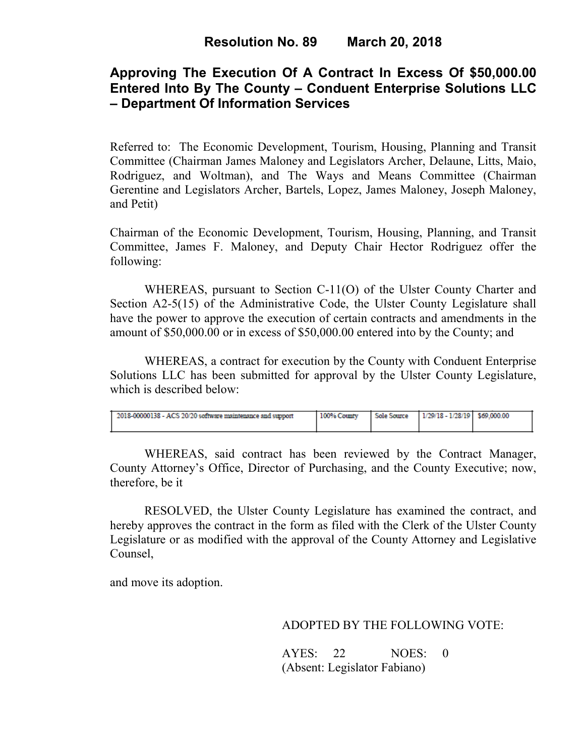# **Approving The Execution Of A Contract In Excess Of \$50,000.00 Entered Into By The County – Conduent Enterprise Solutions LLC – Department Of Information Services**

Referred to: The Economic Development, Tourism, Housing, Planning and Transit Committee (Chairman James Maloney and Legislators Archer, Delaune, Litts, Maio, Rodriguez, and Woltman), and The Ways and Means Committee (Chairman Gerentine and Legislators Archer, Bartels, Lopez, James Maloney, Joseph Maloney, and Petit)

Chairman of the Economic Development, Tourism, Housing, Planning, and Transit Committee, James F. Maloney, and Deputy Chair Hector Rodriguez offer the following:

WHEREAS, pursuant to Section C-11(O) of the Ulster County Charter and Section A2-5(15) of the Administrative Code, the Ulster County Legislature shall have the power to approve the execution of certain contracts and amendments in the amount of \$50,000.00 or in excess of \$50,000.00 entered into by the County; and

 WHEREAS, a contract for execution by the County with Conduent Enterprise Solutions LLC has been submitted for approval by the Ulster County Legislature, which is described below:

| 2018-00000138 - ACS 20/20 software maintenance and support | 100% County | Sole Source 1/29/18 - 1/28/19 \$69,000.00 |  |
|------------------------------------------------------------|-------------|-------------------------------------------|--|
|                                                            |             |                                           |  |
|                                                            |             |                                           |  |

WHEREAS, said contract has been reviewed by the Contract Manager, County Attorney's Office, Director of Purchasing, and the County Executive; now, therefore, be it

RESOLVED, the Ulster County Legislature has examined the contract, and hereby approves the contract in the form as filed with the Clerk of the Ulster County Legislature or as modified with the approval of the County Attorney and Legislative Counsel,

and move its adoption.

## ADOPTED BY THE FOLLOWING VOTE:

AYES: 22 NOES: 0 (Absent: Legislator Fabiano)